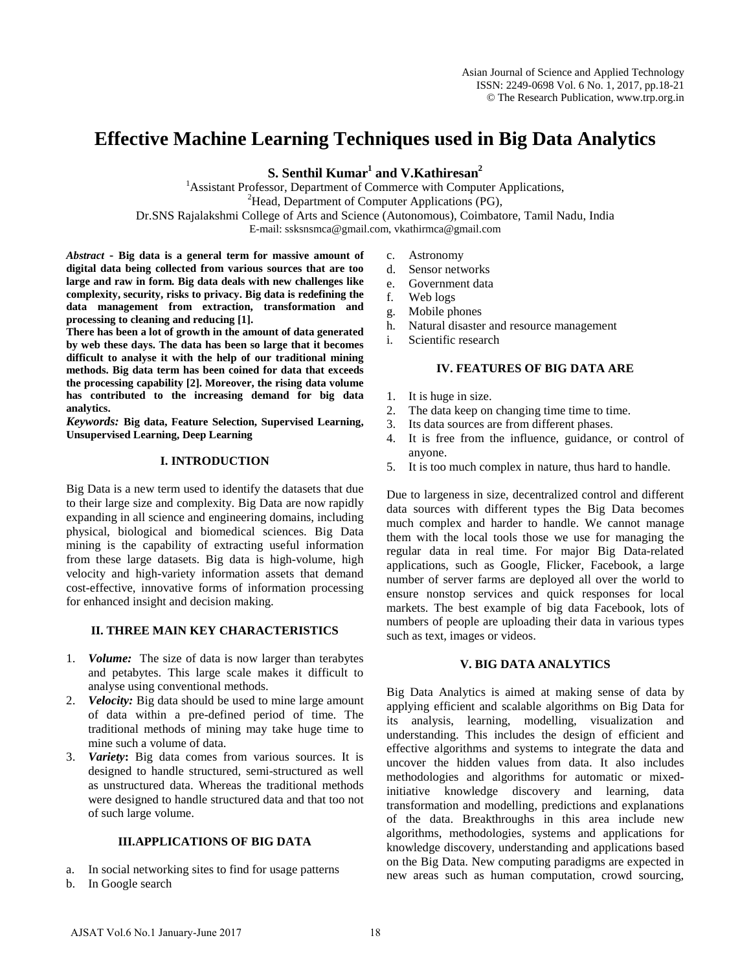# **Effective Machine Learning Techniques used in Big Data Analytics**

**S. Senthil Kumar<sup>1</sup> and V.Kathiresan<sup>2</sup>** 

<sup>1</sup> Assistant Professor, Department of Commerce with Computer Applications,  ${}^{2}$ Head, Department of Computer Applications (PG), Dr.SNS Rajalakshmi College of Arts and Science (Autonomous), Coimbatore, Tamil Nadu, India E-mail: ssksnsmca@gmail.com[, vkathirmca@gmail.com](mailto:vkathirmca@gmail.com)

*Abstract* **- Big data is a general term for massive amount of digital data being collected from various sources that are too large and raw in form. Big data deals with new challenges like complexity, security, risks to privacy. Big data is redefining the data management from extraction, transformation and processing to cleaning and reducing [1].**

**There has been a lot of growth in the amount of data generated by web these days. The data has been so large that it becomes difficult to analyse it with the help of our traditional mining methods. Big data term has been coined for data that exceeds the processing capability [2]. Moreover, the rising data volume has contributed to the increasing demand for big data analytics.**

*Keywords:* **Big data, Feature Selection, Supervised Learning, Unsupervised Learning, Deep Learning**

## **I. INTRODUCTION**

Big Data is a new term used to identify the datasets that due to their large size and complexity. Big Data are now rapidly expanding in all science and engineering domains, including physical, biological and biomedical sciences. Big Data mining is the capability of extracting useful information from these large datasets. Big data is high-volume, high velocity and high-variety information assets that demand cost-effective, innovative forms of information processing for enhanced insight and decision making.

# **II. THREE MAIN KEY CHARACTERISTICS**

- 1. *Volume:* The size of data is now larger than terabytes and petabytes. This large scale makes it difficult to analyse using conventional methods.
- 2. *Velocity:* Big data should be used to mine large amount of data within a pre-defined period of time. The traditional methods of mining may take huge time to mine such a volume of data.
- 3. *Variety***:** Big data comes from various sources. It is designed to handle structured, semi-structured as well as unstructured data. Whereas the traditional methods were designed to handle structured data and that too not of such large volume.

#### **III.APPLICATIONS OF BIG DATA**

- a. In social networking sites to find for usage patterns
- b. In Google search
- c. Astronomy
- d. Sensor networks
- e. Government data
- f. Web logs
- g. Mobile phones
- h. Natural disaster and resource management
- i. Scientific research

## **IV. FEATURES OF BIG DATA ARE**

- 1. It is huge in size.
- 2. The data keep on changing time time to time.
- 3. Its data sources are from different phases.
- 4. It is free from the influence, guidance, or control of anyone.
- 5. It is too much complex in nature, thus hard to handle.

Due to largeness in size, decentralized control and different data sources with different types the Big Data becomes much complex and harder to handle. We cannot manage them with the local tools those we use for managing the regular data in real time. For major Big Data-related applications, such as Google, Flicker, Facebook, a large number of server farms are deployed all over the world to ensure nonstop services and quick responses for local markets. The best example of big data Facebook, lots of numbers of people are uploading their data in various types such as text, images or videos.

#### **V. BIG DATA ANALYTICS**

Big Data Analytics is aimed at making sense of data by applying efficient and scalable algorithms on Big Data for its analysis, learning, modelling, visualization and understanding. This includes the design of efficient and effective algorithms and systems to integrate the data and uncover the hidden values from data. It also includes methodologies and algorithms for automatic or mixedinitiative knowledge discovery and learning, data transformation and modelling, predictions and explanations of the data. Breakthroughs in this area include new algorithms, methodologies, systems and applications for knowledge discovery, understanding and applications based on the Big Data. New computing paradigms are expected in new areas such as human computation, crowd sourcing,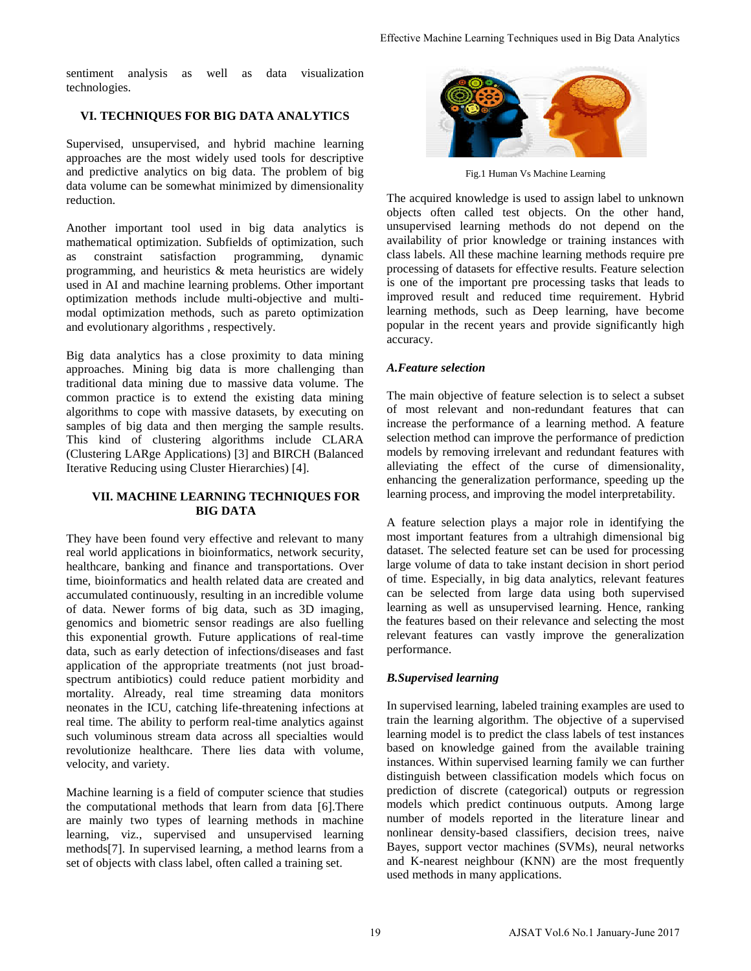sentiment analysis as well as data visualization technologies.

# **VI. TECHNIQUES FOR BIG DATA ANALYTICS**

Supervised, unsupervised, and hybrid machine learning approaches are the most widely used tools for descriptive and predictive analytics on big data. The problem of big data volume can be somewhat minimized by dimensionality reduction.

Another important tool used in big data analytics is mathematical optimization. Subfields of optimization, such as constraint satisfaction programming, dynamic programming, and heuristics & meta heuristics are widely used in AI and machine learning problems. Other important optimization methods include multi-objective and multimodal optimization methods, such as pareto optimization and evolutionary algorithms , respectively.

Big data analytics has a close proximity to data mining approaches. Mining big data is more challenging than traditional data mining due to massive data volume. The common practice is to extend the existing data mining algorithms to cope with massive datasets, by executing on samples of big data and then merging the sample results. This kind of clustering algorithms include CLARA (Clustering LARge Applications) [3] and BIRCH (Balanced Iterative Reducing using Cluster Hierarchies) [4].

## **VII. MACHINE LEARNING TECHNIQUES FOR BIG DATA**

They have been found very effective and relevant to many real world applications in bioinformatics, network security, healthcare, banking and finance and transportations. Over time, bioinformatics and health related data are created and accumulated continuously, resulting in an incredible volume of data. Newer forms of big data, such as 3D imaging, genomics and biometric sensor readings are also fuelling this exponential growth. Future applications of real-time data, such as early detection of infections/diseases and fast application of the appropriate treatments (not just broadspectrum antibiotics) could reduce patient morbidity and mortality. Already, real time streaming data monitors neonates in the ICU, catching life-threatening infections at real time. The ability to perform real-time analytics against such voluminous stream data across all specialties would revolutionize healthcare. There lies data with volume, velocity, and variety.

Machine learning is a field of computer science that studies the computational methods that learn from data [6].There are mainly two types of learning methods in machine learning, viz., supervised and unsupervised learning methods[7]. In supervised learning, a method learns from a set of objects with class label, often called a training set.



Fig.1 Human Vs Machine Learning

The acquired knowledge is used to assign label to unknown objects often called test objects. On the other hand, unsupervised learning methods do not depend on the availability of prior knowledge or training instances with class labels. All these machine learning methods require pre processing of datasets for effective results. Feature selection is one of the important pre processing tasks that leads to improved result and reduced time requirement. Hybrid learning methods, such as Deep learning, have become popular in the recent years and provide significantly high accuracy.

# *A.Feature selection*

The main objective of feature selection is to select a subset of most relevant and non-redundant features that can increase the performance of a learning method. A feature selection method can improve the performance of prediction models by removing irrelevant and redundant features with alleviating the effect of the curse of dimensionality, enhancing the generalization performance, speeding up the learning process, and improving the model interpretability.

A feature selection plays a major role in identifying the most important features from a ultrahigh dimensional big dataset. The selected feature set can be used for processing large volume of data to take instant decision in short period of time. Especially, in big data analytics, relevant features can be selected from large data using both supervised learning as well as unsupervised learning. Hence, ranking the features based on their relevance and selecting the most relevant features can vastly improve the generalization performance.

# *B.Supervised learning*

In supervised learning, labeled training examples are used to train the learning algorithm. The objective of a supervised learning model is to predict the class labels of test instances based on knowledge gained from the available training instances. Within supervised learning family we can further distinguish between classification models which focus on prediction of discrete (categorical) outputs or regression models which predict continuous outputs. Among large number of models reported in the literature linear and nonlinear density-based classifiers, decision trees, naive Bayes, support vector machines (SVMs), neural networks and K-nearest neighbour (KNN) are the most frequently used methods in many applications. Effective Machine Learning Techniques used in Big Data Analytics<br>
The acquired knowledge is used to assign label to unknown<br>
unsupervised of the called test objects. On the other hand<br>
unsupervised canning methods to not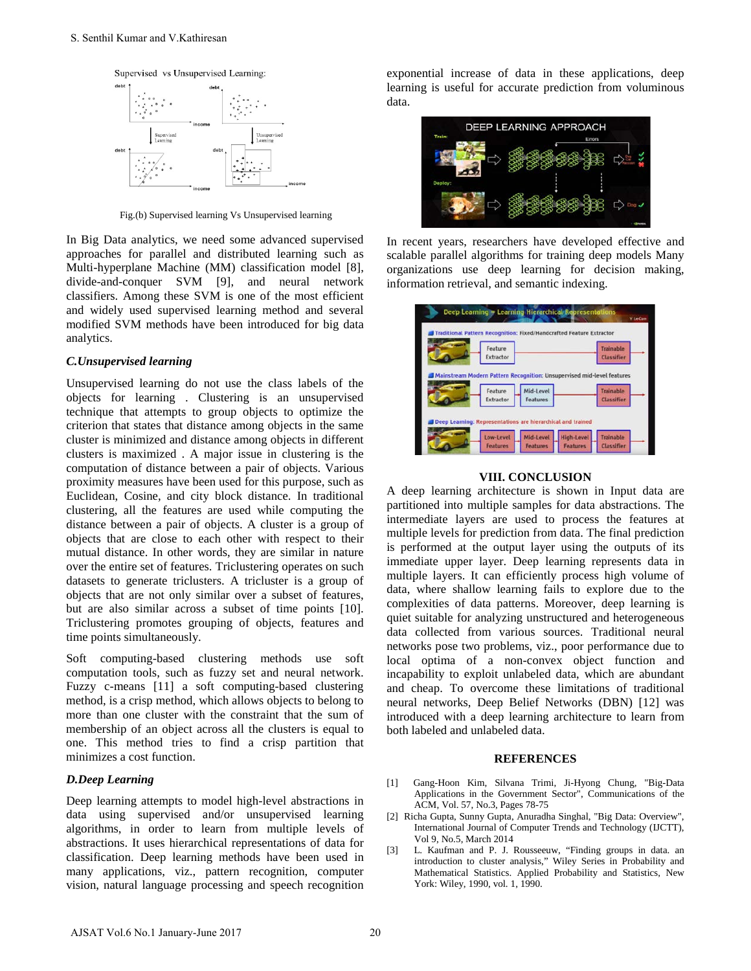

Fig.(b) Supervised learning Vs Unsupervised learning

In Big Data analytics, we need some advanced supervised approaches for parallel and distributed learning such as Multi-hyperplane Machine (MM) classification model [8], divide-and-conquer SVM [9], and neural network classifiers. Among these SVM is one of the most efficient and widely used supervised learning method and several modified SVM methods have been introduced for big data analytics.

#### *C.Unsupervised learning*

Unsupervised learning do not use the class labels of the objects for learning . Clustering is an unsupervised technique that attempts to group objects to optimize the criterion that states that distance among objects in the same cluster is minimized and distance among objects in different clusters is maximized . A major issue in clustering is the computation of distance between a pair of objects. Various proximity measures have been used for this purpose, such as Euclidean, Cosine, and city block distance. In traditional clustering, all the features are used while computing the distance between a pair of objects. A cluster is a group of objects that are close to each other with respect to their mutual distance. In other words, they are similar in nature over the entire set of features. Triclustering operates on such datasets to generate triclusters. A tricluster is a group of objects that are not only similar over a subset of features, but are also similar across a subset of time points [10]. Triclustering promotes grouping of objects, features and time points simultaneously. S. Senthil Kumar and V.Kathiresan<br>
S. Senthil Kumar and V.Kathiresan<br>
S. The sense of the comparison tensor<br>
The sense of the comparison of the sense of the comparison of the comparison of the comparison of the comparison

Soft computing-based clustering methods use soft computation tools, such as fuzzy set and neural network. Fuzzy c-means [11] a soft computing-based clustering method, is a crisp method, which allows objects to belong to more than one cluster with the constraint that the sum of membership of an object across all the clusters is equal to one. This method tries to find a crisp partition that minimizes a cost function.

#### *D.Deep Learning*

Deep learning attempts to model high-level abstractions in data using supervised and/or unsupervised learning algorithms, in order to learn from multiple levels of abstractions. It uses hierarchical representations of data for classification. Deep learning methods have been used in many applications, viz., pattern recognition, computer vision, natural language processing and speech recognition

exponential increase of data in these applications, deep learning is useful for accurate prediction from voluminous data.



In recent years, researchers have developed effective and scalable parallel algorithms for training deep models Many organizations use deep learning for decision making, information retrieval, and semantic indexing.

| Feature                                                     |                                | Trainable         |
|-------------------------------------------------------------|--------------------------------|-------------------|
| Extractor                                                   |                                | <b>Classifier</b> |
|                                                             |                                |                   |
| Feature                                                     | Mid-Level                      | <b>Trainable</b>  |
| Extractor                                                   | <b>Features</b>                | <b>Classifier</b> |
|                                                             |                                |                   |
| Deep Learning: Representations are hierarchical and trained |                                |                   |
| Low-Level                                                   | Mid-Level<br><b>High-Level</b> | Trainable         |

#### **VIII. CONCLUSION**

A deep learning architecture is shown in Input data are partitioned into multiple samples for data abstractions. The intermediate layers are used to process the features at multiple levels for prediction from data. The final prediction is performed at the output layer using the outputs of its immediate upper layer. Deep learning represents data in multiple layers. It can efficiently process high volume of data, where shallow learning fails to explore due to the complexities of data patterns. Moreover, deep learning is quiet suitable for analyzing unstructured and heterogeneous data collected from various sources. Traditional neural networks pose two problems, viz., poor performance due to local optima of a non-convex object function and incapability to exploit unlabeled data, which are abundant and cheap. To overcome these limitations of traditional neural networks, Deep Belief Networks (DBN) [12] was introduced with a deep learning architecture to learn from both labeled and unlabeled data.

#### **REFERENCES**

- [1] Gang-Hoon Kim, Silvana Trimi, Ji-Hyong Chung, "Big-Data Applications in the Government Sector", Communications of the ACM, Vol. 57, No.3, Pages 78-75
- [2] Richa Gupta, Sunny Gupta, Anuradha Singhal, "Big Data: Overview", International Journal of Computer Trends and Technology (IJCTT), Vol 9, No.5, March 2014
- [3] L. Kaufman and P. J. Rousseeuw, "Finding groups in data. an introduction to cluster analysis," Wiley Series in Probability and Mathematical Statistics. Applied Probability and Statistics, New York: Wiley, 1990, vol. 1, 1990.